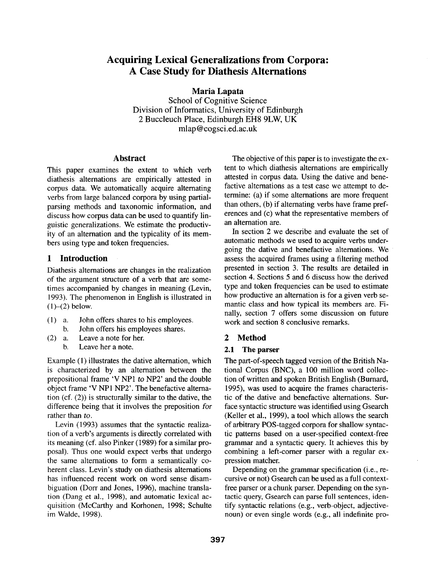# **Acquiring Lexical Generalizations from Corpora: A Case Study for Diathesis Alternations**

**Maria Lapata** 

School of Cognitive Science Division of Informatics, University of Edinburgh 2 Buccleuch Place, Edinburgh EH8 9LW, UK mlap@cogsci.ed.ac.uk

## **Abstract**

This paper examines the extent to which verb diathesis alternations are empirically attested in corpus data. We automatically acquire alternating verbs from large balanced corpora by using partialparsing methods and taxonomic information, and discuss how corpus data can be used to quantify linguistic generalizations. We estimate the productivity of an alternation and the typicality of its members using type and token frequencies.

## **1 Introduction**

Diathesis alternations are changes in the realization of the argument structure of a verb that are sometimes accompanied by changes in meaning (Levin, 1993). The phenomenon in English is illustrated in  $(1)–(2)$  below.

- (1) a. John offers shares to his employees.
	- b. John offers his employees shares.
- (2) a. Leave a note for her. b. Leave her a note.

Example (1) illustrates the dative alternation, which is characterized by an alternation between the prepositional frame 'V NP1 *to* NP2' and the double object frame 'V NP1 NP2'. The benefactive alternation (cf. (2)) is structurally similar to the dative, the difference being that it involves the preposition for rather than *to.* 

Levin (1993) assumes that the syntactic realization of a verb's arguments is directly correlated with its meaning (cf. also Pinker (1989) for a similar proposal). Thus one would expect verbs that undergo the same alternations to form a semantically coherent class. Levin's study on diathesis alternations has influenced recent work on word sense disambiguation (Dorr and Jones, 1996), machine translation (Dang et al., 1998), and automatic lexical acquisition (McCarthy and Korhonen, 1998; Schulte im Walde, 1998).

The objective of this paper is to investigate the extent to which diathesis alternations are empirically attested in corpus data. Using the dative and benefactive alternations as a test case we attempt to determine: (a) if some alternations are more frequent than others, (b) if alternating verbs have frame preferences and (c) what the representative members of an alternation are.

In section 2 we describe and evaluate the set of automatic methods we used to acquire verbs undergoing the dative and benefactive alternations. We assess the acquired frames using a filtering method presented in section 3. The results are detailed in section 4. Sections 5 and 6 discuss how the derived type and token frequencies can be used to estimate how productive an alternation is for a given verb semantic class and how typical its members are. Finally, section 7 offers some discussion on future work and section 8 conclusive remarks.

## **2 Method**

#### **2.1 The parser**

The part-of-speech tagged version of the British National Corpus (BNC), a 100 million word collection of written and spoken British English (Burnard, 1995), was used to acquire the frames characteristic of the dative and benefactive alternations. Surface syntactic structure was identified using Gsearch (Keller et al., 1999), a tool which allows the search of arbitrary POS-tagged corpora for shallow syntactic patterns based on a user-specified context-free grammar and a syntactic query. It achieves this by combining a left-corner parser with a regular expression matcher.

Depending on the grammar specification (i.e., recursive or not) Gsearch can be used as a full contextfree parser or a chunk parser. Depending on the syntactic query, Gsearch can parse full sentences, identify syntactic relations (e.g., verb-object, adjectivenoun) or even single words (e.g., all indefinite pro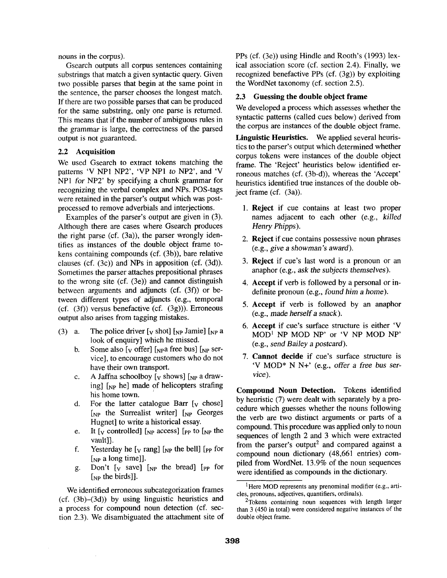nouns in the corpus).

Gsearch outputs all corpus sentences containing substrings that match a given syntactic query. Given two possible parses that begin at the same point in the sentence, the parser chooses the longest match. If there are two possible parses that can be produced for the same substring, only one parse is returned. This means that if the number of ambiguous rules in the grammar is large, the correctness of the parsed output is not guaranteed.

## **2.2 Acquisition**

We used Gsearch to extract tokens matching the patterns 'V NP1 NP2', 'VP NP1 to NP2', and 'V NPI *for* NP2' by specifying a chunk grammar for recognizing the verbal complex and NPs. POS-tags were retained in the parser's output which was postprocessed to remove adverbials and interjections.

Examples of the parser's output are given in (3). Although there are cases where Gsearch produces the right parse (cf. (3a)), the parser wrongly identifies as instances of the double object frame tokens containing compounds (cf. (3b)), bare relative clauses (cf. (3c)) and NPs in apposition (cf. (3d)). Sometimes the parser attaches prepositional phrases to the wrong site (cf. (3e)) and cannot distinguish between arguments and adjuncts (cf. (3f)) or between different types of adjuncts (e.g., temporal  $(cf. (3f))$  versus benefactive  $(cf. (3g))$ ). Erroneous output also arises from tagging mistakes.

- (3) a. The police driver  $[v]$  shot  $[v]$  amie  $[v]$  and  $[v]$ look of enquiry] which he missed.
	- b. Some also  $[v]$  offer] [ $NPA$  free bus] [ $NPA$  service], to encourage customers who do not have their own transport.
	- c. A Jaffna schoolboy  $[y \text{ shows}]$  [NP a drawing]  $\begin{bmatrix} np & he \end{bmatrix}$  made of helicopters strafing his home town.
	- d. For the latter catalogue Barr  $[v \space choose]$  $[NP]$  the Surrealist writer]  $[NP]$  Georges Hugnet] to write a historical essay.
	- e. It  $\lceil v \rceil$  controlled  $\lceil v \rceil$  access  $\lceil v \rceil$  to  $\lceil v \rceil$  the vault]].
	- f. Yesterday he  $[v \text{ rang}]$  [NP the bell] [PP for  $[NP]$  a long time]].
	- g. Don't  $[v]$  save]  $[NP]$  the bread]  $[PP]$  for [<sub>NP</sub> the birds]].

We identified erroneous subcategorization frames (cf. (3b)-(3d)) by using linguistic heuristics and a process for compound noun detection (cf. section 2.3). We disambiguated the attachment site of PPs (cf. (3e)) using Hindle and Rooth's (1993) lexical association score (cf. section 2.4). Finally, we recognized benefactive PPs (cf. (3g)) by exploiting the WordNet taxonomy (cf. section 2.5).

## 2.3 Guessing the double object **frame**

We developed a process which assesses whether the syntactic patterns (called cues below) derived from the corpus are instances of the double object frame.

Linguistic Heuristics. We applied several heuristics to the parser's output which determined whether corpus tokens were instances of the double object frame. The 'Reject' heuristics below identified erroneous matches (cf. (3b-d)), whereas the 'Accept' heuristics identified true instances of the double object frame (cf. (3a)).

- 1. Reject if cue contains at least two proper names adjacent to each other (e.g., *killed Henry Phipps ).*
- 2. Reject if cue contains possessive noun phrases (e.g., *give a showman's award).*
- 3. Reject if cue's last word is a pronoun or an anaphor (e.g., *ask the subjects themselves).*
- 4. Accept if verb is followed by a personal or indefinite pronoun (e.g., *found him a home).*
- 5. Accept if verb is followed by an anaphor (e.g., *made herself a snack).*
- 6. Accept if cue's surface structure is either 'V  $MOD<sup>1</sup>$  NP MOD NP' or 'V NP MOD NP' (e.g., *send Bailey a postcard).*
- 7. Cannot decide if cue's surface structure is 'V MOD\* N N+' (e.g., offer *a free bus* ser*vice).*

**Compound Noun Detection.** Tokens identified by heuristic (7) were dealt with separately by a procedure which guesses whether the nouns following the verb are two distinct arguments or parts of a compound. This procedure was applied only to noun sequences of length 2 and 3 which were extracted from the parser's output<sup>2</sup> and compared against a compound noun dictionary (48,661 entries) compiled from WordNet. 13.9% of the noun sequences were identified as compounds in the dictionary.

<sup>&</sup>lt;sup>1</sup>Here MOD represents any prenominal modifier (e.g., articles, pronouns, adjectives, quantifiers, ordinals).

<sup>&</sup>lt;sup>2</sup>Tokens containing noun sequences with length larger than 3 (450 in total) were considered negative instances of the double object frame.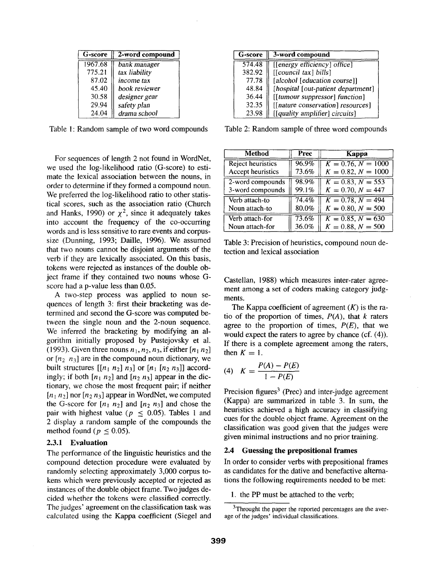| G-score | 2-word compound |
|---------|-----------------|
| 1967.68 | bank manager    |
| 775.21  | tax liability   |
| 87.02   | income tax      |
| 45.40   | book reviewer   |
| 30.58   | designer gear   |
| 29.94   | safety plan     |
| 24.04   | drama school    |

Table 1: Random sample of two word compounds

For sequences of length 2 not found in WordNet, we used the log-likelihood ratio (G-score) to estimate the lexical association between the nouns, in order to determine if they formed a compound noun. We preferred the log-likelihood ratio to other statistical scores, such as the association ratio (Church and Hanks, 1990) or  $\chi^2$ , since it adequately takes into account the frequency of the co-occurring words and is less sensitive to rare events and corpussize (Dunning, 1993; Daille, 1996). We assumed that two nouns cannot be disjoint arguments of the verb if they are lexically associated. On this basis, tokens were rejected as instances of the double object frame if they contained two nouns whose Gscore had a p-value less than 0.05.

A two-step process was applied to noun sequences of length 3: first their bracketing was determined and second the G-score was computed between the single noun and the 2-noun sequence. We inferred the bracketing by modifying an algorithm initially proposed by Pustejovsky et al. (1993). Given three nouns  $n_1$ ,  $n_2$ ,  $n_3$ , if either  $[n_1 n_2]$ or  $[n_2 \ n_3]$  are in the compound noun dictionary, we built structures  $[[n_1 n_2] n_3]$  or  $[n_1 [n_2 n_3]]$  accordingly; if both  $[n_1 \ n_2]$  and  $[n_2 \ n_3]$  appear in the dictionary, we chose the most frequent pair; if neither  $[n_1 n_2]$  nor  $[n_2 n_3]$  appear in WordNet, we computed the G-score for  $[n_1 \ n_2]$  and  $[n_2 \ n_3]$  and chose the pair with highest value ( $p \leq 0.05$ ). Tables 1 and 2 display a random sample of the compounds the method found ( $p \leq 0.05$ ).

## **2.3.1 Evaluation**

The performance of the linguistic heuristics and the compound detection procedure were evaluated by randomly selecting approximately 3,000 corpus tokens which were previously accepted or rejected as instances of the double object frame. Two judges decided whether the tokens were classified correctly. The judges' agreement on the classification task was calculated using the Kappa coefficient (Siegel and

| G-score | 3-word compound                    |
|---------|------------------------------------|
| 574.48  | [[energy efficiency] office]       |
| 382.92  | $[$ [council tax] bills]           |
| 77.78   | [alcohol [education course]]       |
| 48.84   | [hospital [out-patient department] |
| 36.44   | [[tumour suppressor] function]     |
| 32.35   | [[nature conservation] resources]  |
| 23.98   | [[quality amplifier] circuits]     |

2: Random sample of three word compounds

| Method            | Prec  | Kappa                |
|-------------------|-------|----------------------|
| Reject heuristics | 96.9% | $K = 0.76, N = 1000$ |
| Accept heuristics | 73.6% | $K = 0.82, N = 1000$ |
| 2-word compounds  | 98.9% | $K = 0.83, N = 553$  |
| 3-word compounds  | 99.1% | $K = 0.70, N = 447$  |
| Verb attach-to    | 74.4% | $K = 0.78, N = 494$  |
| Noun attach-to    | 80.0% | $K = 0.80, N = 500$  |
| Verb attach-for   | 73.6% | $K = 0.85, N = 630$  |
| Noun attach-for   | 36.0% | $K = 0.88, N = 500$  |

Table 3: Precision of heuristics, compound noun detection and lexical association

Castellan, 1988) which measures inter-rater agreement among a set of coders making category judgments.

The Kappa coefficient of agreement  $(K)$  is the ratio of the proportion of times,  $P(A)$ , that k raters agree to the proportion of times,  $P(E)$ , that we would expect the raters to agree by chance (cf. (4)). If there is a complete agreement among the raters, then  $K = 1$ .

(4) 
$$
K = \frac{P(A) - P(E)}{1 - P(E)}
$$

Precision figures<sup>3</sup> (Prec) and inter-judge agreement (Kappa) are summarized in table 3. In sum, the heuristics achieved a high accuracy in classifying cues for the double object frame. Agreement on the classification was good given that the judges were given minimal instructions and no prior training.

#### **2.4 Guessing the prepositional frames**

In order to consider verbs with prepositional frames as candidates for the dative and benefactive alternations the following requirements needed to be met:

1. the PP must be attached to the verb;

<sup>&</sup>lt;sup>3</sup>Throught the paper the reported percentages are the average of the judges' individual classifications.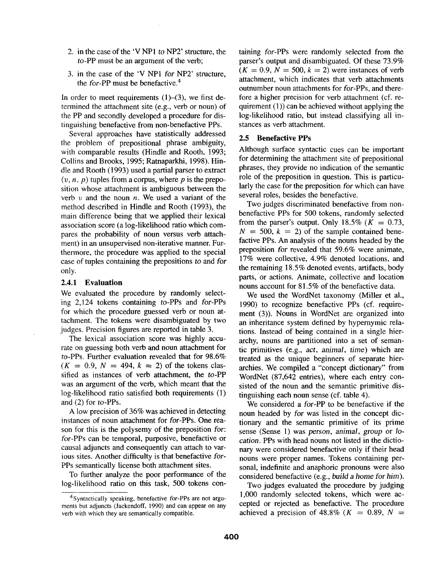- 2. in the case of the 'V NPI *to* NP2' structure, the to-PP must be an argument of the verb;
- 3. in the case of the 'V NPI for NP2' structure, the for-PP must be benefactive.<sup>4</sup>

In order to meet requirements  $(1)$ - $(3)$ , we first determined the attachment site (e.g., verb or noun) of the PP and secondly developed a procedure for distinguishing benefactive from non-benefactive PPs.

Several approaches have statistically addressed the problem of prepositional phrase ambiguity, with comparable results (Hindle and Rooth, 1993; Collins and Brooks, 1995; Ratnaparkhi, 1998). Hindle and Rooth (1993) used a partial parser to extract  $(v, n, p)$  tuples from a corpus, where p is the preposition whose attachment is ambiguous between the verb  $v$  and the noun  $n$ . We used a variant of the method described in Hindle and Rooth (1993), the main difference being that we applied their lexical association score (a log-likelihood ratio which compares the probability of noun versus verb attachment) in an unsupervised non-iterative manner. Furthermore, the procedure was applied to the special case of tuples containing the prepositions *to* and *for*  only.

### **2.4.1 Evaluation**

We evaluated the procedure by randomly selecting 2,124 tokens containing to-PPs and for-PPs for which the procedure guessed verb or noun attachment. The tokens were disambiguated by two judges. Precision figures are reported in table 3.

The lexicai association score was highly accurate on guessing both verb and noun attachment for to-PPs. Further evaluation revealed that for 98.6%  $(K = 0.9, N = 494, k = 2)$  of the tokens classified as instances of verb attachment, the to-PP was an argument of the verb, which meant that the log-likelihood ratio satisfied both requirements (1) and (2) for to-PPs.

A low precision of 36% was achieved in detecting instances of noun attachment for for-PPs. One reason for this is the polysemy of the preposition *for:*  for-PPs can be temporal, purposive, benefactive or causal adjuncts and consequently can attach to various sites. Another difficulty is that benefactive *for-*PPs semantically license both attachment sites.

To further analyze the poor performance of the log-likelihood ratio on this task, 500 tokens containing *for-PPs* were randomly selected from the parser's output and disambiguated. Of these 73.9%  $(K = 0.9, N = 500, k = 2)$  were instances of verb attachment, which indicates that verb attachments outnumber noun attachments for for-PPs, and therefore a higher precision for verb attachment (cf. requirement (1)) can be achieved without applying the log-likelihood ratio, but instead classifying all instances as verb attachment.

#### 2.5 Benefactive PPs

Although surface syntactic cues can be important for determining the attachment site of prepositional phrases, they provide no indication of the semantic role of the preposition in question. This is particularly the case for the preposition *for* which can have several roles, besides the benefactive.

Two judges discriminated benefactive from nonbenefactive PPs for 500 tokens, randomly selected from the parser's output. Only 18.5% ( $K = 0.73$ ,  $N = 500$ ,  $k = 2$ ) of the sample contained benefactive PPs. An analysis of the nouns headed by the preposition *for* revealed that 59.6% were animate, 17% were collective, 4.9% denoted locations, and the remaining 18.5% denoted events, artifacts, body parts,'or actions. Animate, collective and location nouns account for 81.5% of the benefactive data.

We used the WordNet taxonomy (Miller et al., 1990) to recognize benefactive PPs (cf. requirement (3)). Nouns in WordNet are organized into an inheritance system defined by hypernymic relations. Instead of being contained in a single hierarchy, nouns are partitioned into a set of semantic primitives (e.g., *act, animal,* time) which are treated as the unique beginners of separate hierarchies. We compiled a "concept dictionary" from WordNet (87,642 entries), where each entry consisted of the noun and the semantic primitive distinguishing each noun sense (cf. table 4).

We considered a for-PP to be benefactive if the noun headed by for was listed in the concept dictionary and the semantic primitive of its prime sense (Sense 1) was *person, animal, group* or lo*cation.* PPs with head nouns not listed in the dictionary were considered benefactive only if their head nouns were proper names. Tokens containing personal, indefinite and anaphoric pronouns were also considered benefactive (e.g., *build* a home *for him).* 

Two judges evaluated the procedure by judging 1,000 randomly selected tokens, which were accepted or rejected as benefactive. The procedure achieved a precision of 48.8% ( $K = 0.89$ ,  $N =$ 

<sup>4</sup>Syntactically speaking, benefactive *for-PPs* are not arguments but adjuncts (Jackendoff, 1990) and can appear on any verb with which they are semantically compatible.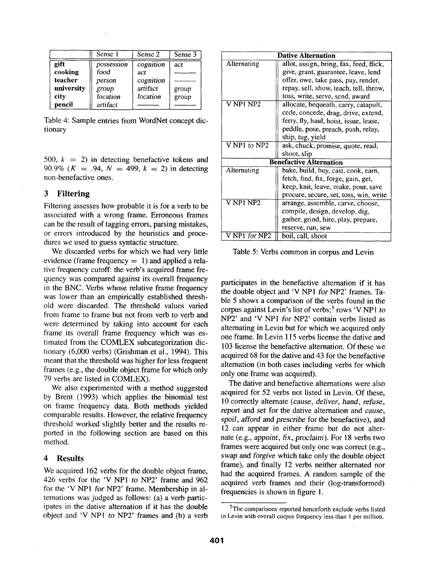|            | Sense 1    | Sense 2   | Sense 3 |
|------------|------------|-----------|---------|
| gift       | possession | cognition | act     |
| cooking    | food       | act       |         |
| teacher    | person     | cognition |         |
| university | group      | artifact  | group   |
| city       | location   | location  | group   |
| pencil     | artifact   |           |         |

Table 4: Sample entries from WordNet concept dictionary

500,  $k = 2$ ) in detecting benefactive tokens and 90.9% ( $K = .94$ ,  $N = 499$ ,  $k = 2$ ) in detecting non-benefactive ones.

## **3 Filtering**

Filtering assesses how probable it is for a verb to be associated with a wrong frame. Erroneous frames can be the result of tagging errors, parsing mistakes, or errors introduced by the heuristics and procedures we used to guess syntactic structure.

We discarded verbs for which we had very little evidence (frame frequency  $= 1$ ) and applied a relative frequency cutoff: the verb's acquired frame frequency was compared against its overall frequency in the BNC. Verbs whose relative frame frequency was lower than an empirically established threshold were discarded. The threshold values varied from frame to frame but not from verb to verb and were determined by taking into account for each frame its overall frame frequency which was estimated from the COMLEX subcategorization dictionary (6,000 verbs) (Grishman et al., 1994). This meant that the threshold was higher for less frequent frames (e.g., the double object frame for which only 79 verbs are listed in COMLEX).

We also experimented with a method suggested by Brent (1993) which applies the binomial test on frame frequency data. Both methods yielded comparable results. However, the relative frequency threshold worked slightly better and the results reported in the following section are based on this method.

## **4 Results**

We acquired 162 verbs for the double object frame, 426 verbs for the 'V NP1 to NP2' frame and 962 for the 'V NPl *for* NP2' frame. Membership in alternations was judged as follows: (a) a verb participates in the dative alternation if it has the double object and 'V NP1 to NP2' frames and (b) a verb

| <b>Dative Alternation</b>                        |                                         |  |  |  |
|--------------------------------------------------|-----------------------------------------|--|--|--|
| Alternating                                      | allot, assign, bring, fax, feed, flick, |  |  |  |
|                                                  | give, grant, guarantee, leave, lend     |  |  |  |
|                                                  | offer, owe, take pass, pay, render,     |  |  |  |
|                                                  | repay, sell, show, teach, tell, throw,  |  |  |  |
|                                                  | toss, write, serve, send, award         |  |  |  |
| V NP1 NP2                                        | allocate, bequeath, carry, catapult,    |  |  |  |
|                                                  | cede, concede, drag, drive, extend,     |  |  |  |
|                                                  | ferry, fly, haul, hoist, issue, lease,  |  |  |  |
|                                                  | peddle, pose, preach, push, relay,      |  |  |  |
|                                                  | ship, tug, yield                        |  |  |  |
| V NP1 to $NP2$                                   | ask, chuck, promise, quote, read,       |  |  |  |
|                                                  | shoot, slip                             |  |  |  |
|                                                  | <b>Benefactive Alternation</b>          |  |  |  |
| Alternating                                      | bake, build, buy, cast, cook, earn,     |  |  |  |
|                                                  | fetch, find, fix, forge, gain, get,     |  |  |  |
|                                                  | keep, knit, leave, make, pour, save     |  |  |  |
|                                                  | procure, secure, set, toss, win, write  |  |  |  |
| $\overline{\text{V NP1} } \overline{\text{NP2}}$ | arrange, assemble, carve, choose,       |  |  |  |
|                                                  | compile, design, develop, dig,          |  |  |  |
|                                                  | gather, grind, hire, play, prepare,     |  |  |  |
|                                                  | reserve, run, sew                       |  |  |  |
| V NP1 for NP2                                    | boil, call, shoot                       |  |  |  |

Table 5: Verbs common in corpus and Levin

participates in the benefactive alternation if it has the double object and 'V NP1 *for* NP2' frames. Table 5 shows a comparison of the verbs found in the corpus against Levin's list of verbs;<sup>5</sup> rows 'V NP1 to NP2' and 'V NP1 *for* NP2' contain verbs listed as alternating in Levin but for which we acquired only one frame. In Levin 115 verbs license the dative and 103 license the benefactive alternation. Of these we acquired 68 for the dative and 43 for the benefactive alternation (in both cases including verbs for which only one frame was acquired).

The dative and benefactive alternations were also acquired for 52 verbs not listed in Levin. Of these, 10 correctly alternate *(cause, deliver, hand, refuse, report* and *set* for the dative alternation and *cause, spoil, afford* and *prescribe* for the benefactive), and 12 can appear in either frame but do not alternate (e.g., *appoint,* fix, *proclaim).* For 18 verbs two frames were acquired but only one was correct (e.g., *swap* and *forgive* which take only the double object frame), and finally 12 verbs neither alternated nor had the acquired frames. A random sample of the acquired verb frames and their (log-transformed) frequencies is shown in figure 1.

<sup>&</sup>lt;sup>5</sup>The comparisons reported henceforth exclude verbs listed in Levin with overall corpus frequency less than 1 per million.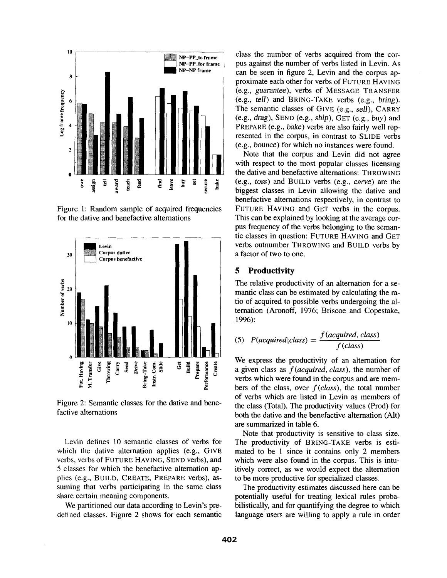

Figure 1: Random sample of acquired frequencies for the dative and benefactive alternations



Figure 2: Semantic classes for the dative and benefactive alternations

Levin defines 10 semantic classes of verbs for which the dative alternation applies (e.g., GIVE verbs, verbs of FUTURE HAVING, SEND verbs), and 5 classes for which the benefactive alternation applies (e.g., BUILD, CREATE, PREPARE verbs), assuming that verbs participating in the same class share certain meaning components.

We partitioned our data according to Levin's predefined classes. Figure 2 shows for each semantic

class the number of verbs acquired from the corpus against the number of verbs listed in Levin. As can be seen in figure 2, Levin and the corpus approximate each other for verbs of FUTURE HAVING (e.g., *guarantee),* verbs of MESSAGE TRANSFER (e.g., *tell)* and BRING-TAKE verbs (e.g., *bring).*  The semantic classes of GIVE (e.g., sell), CARRY (e.g., drag), SEND (e.g., *ship),* GET (e.g., *buy)* and PREPARE (e.g., *bake)* verbs are also fairly well represented in the corpus, in contrast to SLIDE verbs (e.g., *bounce)* for which no instances were found.

Note that the corpus and Levin did not agree with respect to the most popular classes licensing the dative and benefactive alternations: THROWING (e.g., toss) and BUILD verbs (e.g., carve) are the biggest classes in Levin allowing the dative and benefactive alternations respectively, in contrast to FUTURE HAVING and GET verbs in the corpus. This can be explained by looking at the average corpus frequency of the verbs belonging to the semantic classes in question: FUTURE HAVING and GET Levi, I 1 1 verbs outnumber THROWING and BUILD verbs by

## **5 Productivity**

tio of acquired to possible verbs undergoing the al-

(5) 
$$
P(aequired|class) = \frac{f(aequired, class)}{f(class)}
$$

**Example 19**  $\frac{1}{2}$   $\frac{1}{2}$   $\frac{1}{2}$   $\frac{1}{2}$   $\frac{1}{2}$   $\frac{1}{2}$   $\frac{1}{2}$   $\frac{1}{2}$   $\frac{1}{2}$   $\frac{1}{2}$   $\frac{1}{2}$   $\frac{1}{2}$   $\frac{1}{2}$   $\frac{1}{2}$   $\frac{1}{2}$   $\frac{1}{2}$   $\frac{1}{2}$   $\frac{1}{2}$   $\frac{1}{2}$   $\frac{1}{2}$   $\frac{1}{2}$ a given class as *f(acquired, class),* the number of verbs which were found in the corpus and are members of the class, over *f(class),* the total number of verbs which are listed in Levin as members of the class (Total). The productivity values (Prod) for both the dative and the benefactive alternation (Alt) are summarized in table 6.

> Note that productivity is sensitive to class size. The productivity of BRING-TAKE verbs is estimated to be 1 since it contains only 2 members which were also found in the corpus. This is intuitively correct, as we would expect the alternation to be more productive for specialized classes.

> The productivity estimates discussed here can be potentially useful for treating lexical rules probabilistically, and for quantifying the degree to which language users are willing to apply' a rule in order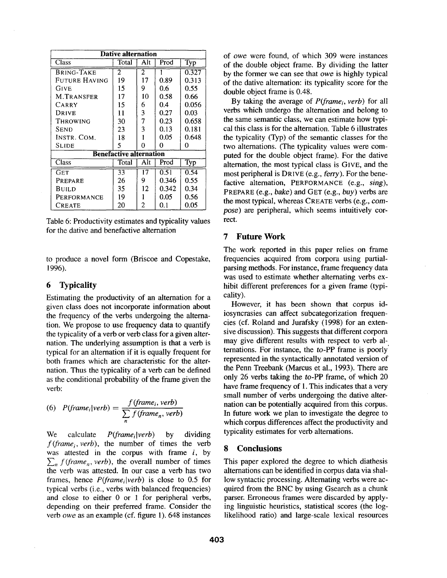| <b>Dative alternation</b>      |       |                |       |       |  |
|--------------------------------|-------|----------------|-------|-------|--|
| Class                          | Total | Alt            | Prod  | Typ   |  |
| BRING-TAKE                     | 2     | $\overline{2}$ |       | 0.327 |  |
| FUTURE HAVING                  | 19    | 17             | 0.89  | 0.313 |  |
| <b>GIVE</b>                    | 15    | 9              | 0.6   | 0.55  |  |
| <b>M.TRANSFER</b>              | 17    | 10             | 0.58  | 0.66  |  |
| CARRY                          | 15    | 6              | 0.4   | 0.056 |  |
| Drive                          | 11    | 3              | 0.27  | 0.03  |  |
| Throwing                       | 30    | 7              | 0.23  | 0.658 |  |
| <b>SEND</b>                    | 23    | 3              | 0.13  | 0.181 |  |
| INSTR. COM.                    | 18    |                | 0.05  | 0.648 |  |
| <b>SLIDE</b>                   | 5     | 0              | 0     | 0     |  |
| <b>Benefactive alternation</b> |       |                |       |       |  |
| Class                          | Total | Alt            | Prod  | Typ   |  |
| Сет                            | 33    | 17             | 0.51  | 0.54  |  |
| PREPARE                        | 26    | 9              | 0.346 | 0.55  |  |
| Build                          | 35    | 12             | 0.342 | 0.34  |  |
| PERFORMANCE                    | 19    |                | 0.05  | 0.56  |  |
| <b>CREATE</b>                  | 20    | 2              | 0.1   | 0.05  |  |

Table 6: Productivity estimates and typicality values for the dative and benefactive alternation

to produce a novel form (Briscoe and Copestake, 1996).

## **6 Typicality**

Estimating the productivity of an alternation for a given class does not incorporate information about the frequency of the verbs undergoing the alternation. We propose to use frequency data to quantify the typicality of a verb or verb class for a given alternation. The underlying assumption is that a verb is typical for an alternation if it is equally frequent for both frames which are characteristic for the alternation. Thus the typicality of a verb can be defined as the conditional probability of the frame given the verb:

(6) 
$$
P(frame_i|verb) = \frac{f(frame_i, verb)}{\sum_{n} f(frame_n, verb)}
$$

We calculate *Pfframeilverb)* by dividing *f(frame i, verb),* the number of times the verb was attested in the corpus with frame  $i$ , by  $\sum_{n} f(f$ *rame<sub>n</sub>*, *verb*), the overall number of times the verb was attested. In our case a verb has two frames, hence *P(frameilverb)* is close to 0.5 for typical verbs (i.e., verbs with balanced frequencies) and close to either 0 or 1 for peripheral verbs, depending on their preferred frame. Consider the verb *owe* as an example (cf. figure 1). 648 instances

of *owe* were found, of which 309 were instances of the double object frame. By dividing the latter by the former we can see that *owe* is highly typical of the dative alternation: its typicality score for the double object frame is 0.48.

By taking the average of *P(framei, verb)* for all verbs which undergo the alternation and belong to the same semantic class, we can estimate how typical this class is for the alternation. Table 6 illustrates the typicality (Typ) of the semantic classes for the two alternations. (The typicality values were computed for the double object frame). For the dative alternation, the most typical class is GIVE, and the most peripheral is DRIVE (e.g., *ferry).* For the benefactive alternation, PERFORMANCE (e.g., *sing*), PREPARE (e.g., bake) and GET (e.g., *buy)* verbs are the most typical, whereas CREATE verbs (e.g., com*pose) are* peripheral, which seems intuitively correct.

## **7 Future Work**

The work reported in this paper relies on frame frequencies acquired from corpora using partialparsing methods. For instance, frame frequency data was used to estimate whether alternating verbs exhibit different preferences for a given frame (typicality).

However, it has been shown that corpus idiosyncrasies can affect subcategorization frequencies (cf. Roland and Jurafsky (1998) for an extensive discussion). This suggests that different corpora may give different results with respect to verb alternations. For instance, the to-PP frame is poorly' represented in the syntactically annotated version of the Penn Treebank (Marcus et al., 1993). There are only 26 verbs taking the *to-PP* frame, of which 20 have frame frequency of 1. This indicates that a very small number of verbs undergoing the dative alternation can be potentially acquired from this corpus. In future work we plan to investigate the degree to which corpus differences affect the productivity and typicality estimates for verb alternations.

## **8 Conclusions**

This paper explored the degree to which diathesis alternations can be identified in corpus data via shallow syntactic processing. Alternating verbs were acquired from the BNC by using Gsearch as a chunk parser. Erroneous frames were discarded by applying linguistic heuristics, statistical scores (the loglikelihood ratio) and large-scale lexical resources